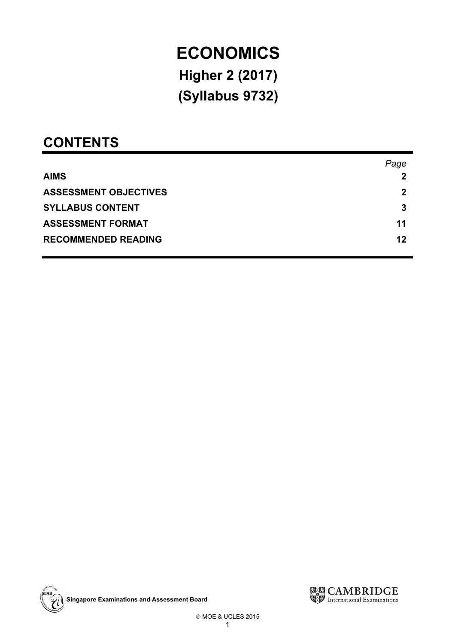# ECONOMICS<br>Higher 2 (2017)  $H_2H_2H_3 = (2700)$  $\overline{\phantom{a}}$

# **CONTENTS**

|                              | Page |
|------------------------------|------|
| <b>AIMS</b>                  | 2    |
| <b>ASSESSMENT OBJECTIVES</b> | 2    |
| <b>SYLLABUS CONTENT</b>      | 3    |
| <b>ASSESSMENT FORMAT</b>     | 11   |
| <b>RECOMMENDED READING</b>   | 12   |

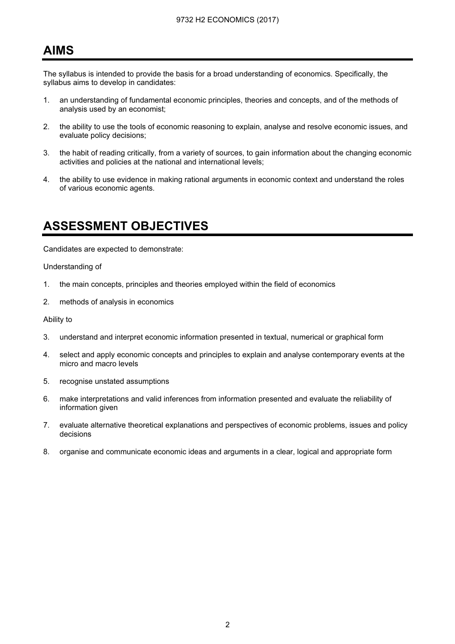# **AIMS** <u>. . . . . . .</u>

The syllabus is intended to provide the basis for a broad understanding of economics. Specifically, the syllabus aims to develop in candidates:

- 1. an understanding of fundamental economic principles, theories and concepts, and of the methods of analysis used by an economist;
- 2. the ability to use the tools of economic reasoning to explain, analyse and resolve economic issues, and evaluate policy decisions;
- 3. the habit of reading critically, from a variety of sources, to gain information about the changing economic activities and policies at the national and international levels;
- 4. the ability to use evidence in making rational arguments in economic context and understand the roles of various economic agents.

# ASSESSMENT OBJECTIVES

Candidates are expected to demonstrate:

Understanding of

- 1. the main concepts, principles and theories employed within the field of economics
- 2. methods of analysis in economics

Ability to

- 3. understand and interpret economic information presented in textual, numerical or graphical form
- 4. select and apply economic concepts and principles to explain and analyse contemporary events at the micro and macro levels
- 5. recognise unstated assumptions
- 6. make interpretations and valid inferences from information presented and evaluate the reliability of information given
- 7. evaluate alternative theoretical explanations and perspectives of economic problems, issues and policy decisions
- 8. organise and communicate economic ideas and arguments in a clear, logical and appropriate form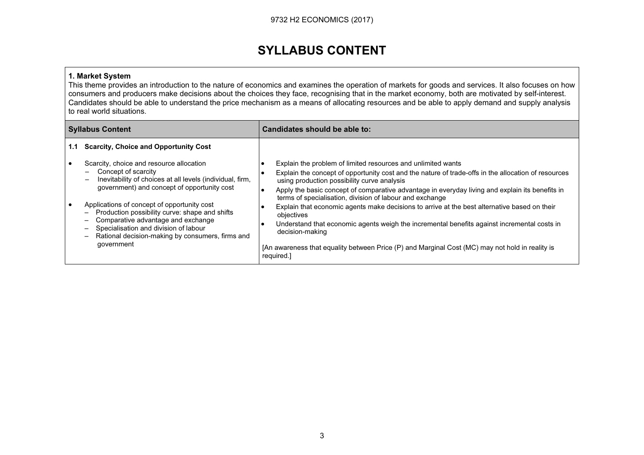# SYLLABUS CONTENT

#### 1. Market System

This theme provides an introduction to the nature of economics and examines the operation of markets for goods and services. It also focuses on how consumers and producers make decisions about the choices they face, recognising that in the market economy, both are motivated by self-interest. Candidates should be able to understand the price mechanism as a means of allocating resources and be able to apply demand and supply analysis to real world situations.

|     | <b>Syllabus Content</b>                                                                                                                                                                                                                                                                                                                                                                                                                                                                        | Candidates should be able to:                                                                                                                                                                                                                                                                                                                                                                                                                                                                                                                                                                                                                                                                                                      |
|-----|------------------------------------------------------------------------------------------------------------------------------------------------------------------------------------------------------------------------------------------------------------------------------------------------------------------------------------------------------------------------------------------------------------------------------------------------------------------------------------------------|------------------------------------------------------------------------------------------------------------------------------------------------------------------------------------------------------------------------------------------------------------------------------------------------------------------------------------------------------------------------------------------------------------------------------------------------------------------------------------------------------------------------------------------------------------------------------------------------------------------------------------------------------------------------------------------------------------------------------------|
| 1.1 | <b>Scarcity, Choice and Opportunity Cost</b>                                                                                                                                                                                                                                                                                                                                                                                                                                                   |                                                                                                                                                                                                                                                                                                                                                                                                                                                                                                                                                                                                                                                                                                                                    |
|     | Scarcity, choice and resource allocation<br>Concept of scarcity<br>$\qquad \qquad -$<br>Inevitability of choices at all levels (individual, firm,<br>$\overline{\phantom{0}}$<br>government) and concept of opportunity cost<br>Applications of concept of opportunity cost<br>Production possibility curve: shape and shifts<br>Ξ.<br>Comparative advantage and exchange<br>—<br>Specialisation and division of labour<br>-<br>Rational decision-making by consumers, firms and<br>government | Explain the problem of limited resources and unlimited wants<br>Explain the concept of opportunity cost and the nature of trade-offs in the allocation of resources<br>using production possibility curve analysis<br>Apply the basic concept of comparative advantage in everyday living and explain its benefits in<br>terms of specialisation, division of labour and exchange<br>Explain that economic agents make decisions to arrive at the best alternative based on their<br>objectives<br>Understand that economic agents weigh the incremental benefits against incremental costs in<br>decision-making<br>[An awareness that equality between Price (P) and Marginal Cost (MC) may not hold in reality is<br>required.] |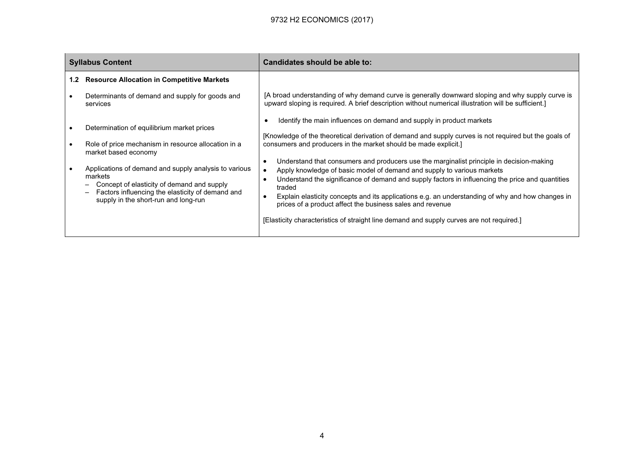|                  | <b>Syllabus Content</b>                                                                                                                                                                                                                                                                                                                 | Candidates should be able to:                                                                                                                                                                                                                                                                                                                                                                                                                                                                                                                                                                                                                                                                                                                                                                     |
|------------------|-----------------------------------------------------------------------------------------------------------------------------------------------------------------------------------------------------------------------------------------------------------------------------------------------------------------------------------------|---------------------------------------------------------------------------------------------------------------------------------------------------------------------------------------------------------------------------------------------------------------------------------------------------------------------------------------------------------------------------------------------------------------------------------------------------------------------------------------------------------------------------------------------------------------------------------------------------------------------------------------------------------------------------------------------------------------------------------------------------------------------------------------------------|
| 1.2 <sub>2</sub> | <b>Resource Allocation in Competitive Markets</b>                                                                                                                                                                                                                                                                                       |                                                                                                                                                                                                                                                                                                                                                                                                                                                                                                                                                                                                                                                                                                                                                                                                   |
|                  | Determinants of demand and supply for goods and<br>services                                                                                                                                                                                                                                                                             | [A broad understanding of why demand curve is generally downward sloping and why supply curve is<br>upward sloping is required. A brief description without numerical illustration will be sufficient.]                                                                                                                                                                                                                                                                                                                                                                                                                                                                                                                                                                                           |
|                  | Determination of equilibrium market prices<br>Role of price mechanism in resource allocation in a<br>market based economy<br>Applications of demand and supply analysis to various<br>markets<br>Concept of elasticity of demand and supply<br>Factors influencing the elasticity of demand and<br>supply in the short-run and long-run | Identify the main influences on demand and supply in product markets<br>[Knowledge of the theoretical derivation of demand and supply curves is not required but the goals of<br>consumers and producers in the market should be made explicit.]<br>Understand that consumers and producers use the marginalist principle in decision-making<br>Apply knowledge of basic model of demand and supply to various markets<br>Understand the significance of demand and supply factors in influencing the price and quantities<br>traded<br>Explain elasticity concepts and its applications e.g. an understanding of why and how changes in<br>prices of a product affect the business sales and revenue<br>[Elasticity characteristics of straight line demand and supply curves are not required.] |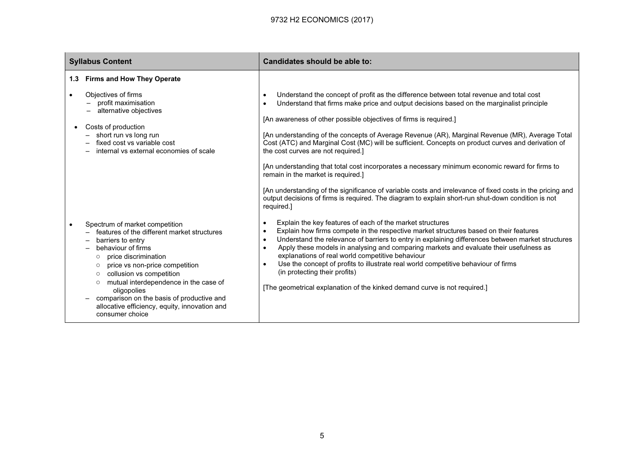|           | <b>Syllabus Content</b>                                                                                                                                                                                                                                                                                                                                                                                                             | Candidates should be able to:                                                                                                                                                                                                                                                                                                                                                                                                                                                                                                                                                                                                                                                                                                                                                                                                                                                                               |  |
|-----------|-------------------------------------------------------------------------------------------------------------------------------------------------------------------------------------------------------------------------------------------------------------------------------------------------------------------------------------------------------------------------------------------------------------------------------------|-------------------------------------------------------------------------------------------------------------------------------------------------------------------------------------------------------------------------------------------------------------------------------------------------------------------------------------------------------------------------------------------------------------------------------------------------------------------------------------------------------------------------------------------------------------------------------------------------------------------------------------------------------------------------------------------------------------------------------------------------------------------------------------------------------------------------------------------------------------------------------------------------------------|--|
|           | 1.3 Firms and How They Operate                                                                                                                                                                                                                                                                                                                                                                                                      |                                                                                                                                                                                                                                                                                                                                                                                                                                                                                                                                                                                                                                                                                                                                                                                                                                                                                                             |  |
| $\bullet$ | Objectives of firms<br>profit maximisation<br>alternative objectives<br>Costs of production<br>short run vs long run<br>fixed cost vs variable cost<br>internal vs external economies of scale                                                                                                                                                                                                                                      | Understand the concept of profit as the difference between total revenue and total cost<br>$\bullet$<br>Understand that firms make price and output decisions based on the marginalist principle<br>$\bullet$<br>[An awareness of other possible objectives of firms is required.]<br>[An understanding of the concepts of Average Revenue (AR), Marginal Revenue (MR), Average Total<br>Cost (ATC) and Marginal Cost (MC) will be sufficient. Concepts on product curves and derivation of<br>the cost curves are not required.]<br>[An understanding that total cost incorporates a necessary minimum economic reward for firms to<br>remain in the market is required.]<br>[An understanding of the significance of variable costs and irrelevance of fixed costs in the pricing and<br>output decisions of firms is required. The diagram to explain short-run shut-down condition is not<br>required.] |  |
| $\bullet$ | Spectrum of market competition<br>features of the different market structures<br>barriers to entry<br>behaviour of firms<br>price discrimination<br>$\circ$<br>price vs non-price competition<br>$\circ$<br>collusion vs competition<br>$\circ$<br>mutual interdependence in the case of<br>$\circ$<br>oligopolies<br>comparison on the basis of productive and<br>allocative efficiency, equity, innovation and<br>consumer choice | Explain the key features of each of the market structures<br>٠<br>Explain how firms compete in the respective market structures based on their features<br>$\bullet$<br>Understand the relevance of barriers to entry in explaining differences between market structures<br>$\bullet$<br>Apply these models in analysing and comparing markets and evaluate their usefulness as<br>$\bullet$<br>explanations of real world competitive behaviour<br>Use the concept of profits to illustrate real world competitive behaviour of firms<br>$\bullet$<br>(in protecting their profits)<br>[The geometrical explanation of the kinked demand curve is not required.]                                                                                                                                                                                                                                          |  |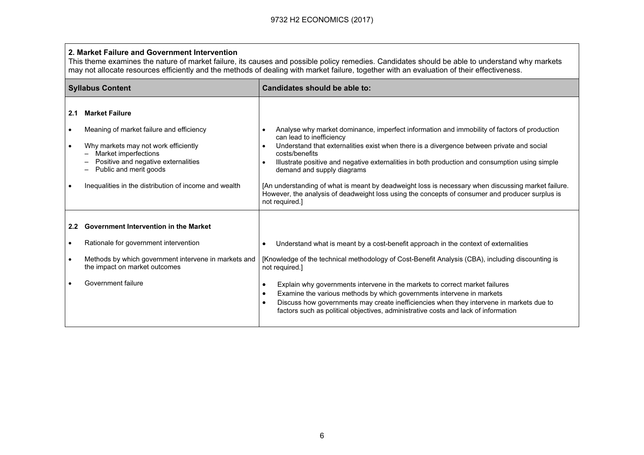#### 2. Market Failure and Government Intervention

 This theme examines the nature of market failure, its causes and possible policy remedies. Candidates should be able to understand why markets may not allocate resources efficiently and the methods of dealing with market failure, together with an evaluation of their effectiveness.

|               | <b>Syllabus Content</b>                                                               | Candidates should be able to:                                                                                                                                                                                                                                                                                                         |  |
|---------------|---------------------------------------------------------------------------------------|---------------------------------------------------------------------------------------------------------------------------------------------------------------------------------------------------------------------------------------------------------------------------------------------------------------------------------------|--|
| 2.1           | <b>Market Failure</b>                                                                 |                                                                                                                                                                                                                                                                                                                                       |  |
|               | Meaning of market failure and efficiency<br>Why markets may not work efficiently      | Analyse why market dominance, imperfect information and immobility of factors of production<br>can lead to inefficiency<br>Understand that externalities exist when there is a divergence between private and social                                                                                                                  |  |
|               | Market imperfections<br>Positive and negative externalities<br>Public and merit goods | costs/benefits<br>Illustrate positive and negative externalities in both production and consumption using simple<br>demand and supply diagrams                                                                                                                                                                                        |  |
|               | Inequalities in the distribution of income and wealth                                 | [An understanding of what is meant by deadweight loss is necessary when discussing market failure.<br>However, the analysis of deadweight loss using the concepts of consumer and producer surplus is<br>not required.]                                                                                                               |  |
| $2.2^{\circ}$ | <b>Government Intervention in the Market</b>                                          |                                                                                                                                                                                                                                                                                                                                       |  |
|               | Rationale for government intervention                                                 | Understand what is meant by a cost-benefit approach in the context of externalities                                                                                                                                                                                                                                                   |  |
|               | Methods by which government intervene in markets and<br>the impact on market outcomes | [Knowledge of the technical methodology of Cost-Benefit Analysis (CBA), including discounting is<br>not required.]                                                                                                                                                                                                                    |  |
|               | Government failure                                                                    | Explain why governments intervene in the markets to correct market failures<br>Examine the various methods by which governments intervene in markets<br>Discuss how governments may create inefficiencies when they intervene in markets due to<br>factors such as political objectives, administrative costs and lack of information |  |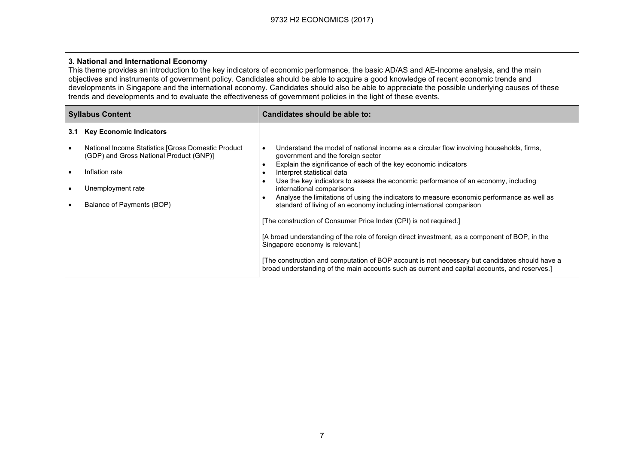#### 3. National and International Economy

This theme provides an introduction to the key indicators of economic performance, the basic AD/AS and AE-Income analysis, and the main objectives and instruments of government policy. Candidates should be able to acquire a good knowledge of recent economic trends and developments in Singapore and the international economy. Candidates should also be able to appreciate the possible underlying causes of these trends and developments and to evaluate the effectiveness of government policies in the light of these events.

| <b>Syllabus Content</b><br>Candidates should be able to: |                                                                                               |                                                                                                                                                                                                                                             |
|----------------------------------------------------------|-----------------------------------------------------------------------------------------------|---------------------------------------------------------------------------------------------------------------------------------------------------------------------------------------------------------------------------------------------|
| 3.1                                                      | <b>Key Economic Indicators</b>                                                                |                                                                                                                                                                                                                                             |
|                                                          | National Income Statistics [Gross Domestic Product<br>(GDP) and Gross National Product (GNP)] | Understand the model of national income as a circular flow involving households, firms,<br>government and the foreign sector<br>Explain the significance of each of the key economic indicators                                             |
|                                                          | Inflation rate<br>Unemployment rate                                                           | Interpret statistical data<br>Use the key indicators to assess the economic performance of an economy, including<br>international comparisons<br>Analyse the limitations of using the indicators to measure economic performance as well as |
|                                                          | Balance of Payments (BOP)                                                                     | standard of living of an economy including international comparison<br>[The construction of Consumer Price Index (CPI) is not required.]                                                                                                    |
|                                                          |                                                                                               | [A broad understanding of the role of foreign direct investment, as a component of BOP, in the<br>Singapore economy is relevant.]                                                                                                           |
|                                                          |                                                                                               | The construction and computation of BOP account is not necessary but candidates should have a<br>broad understanding of the main accounts such as current and capital accounts, and reserves.]                                              |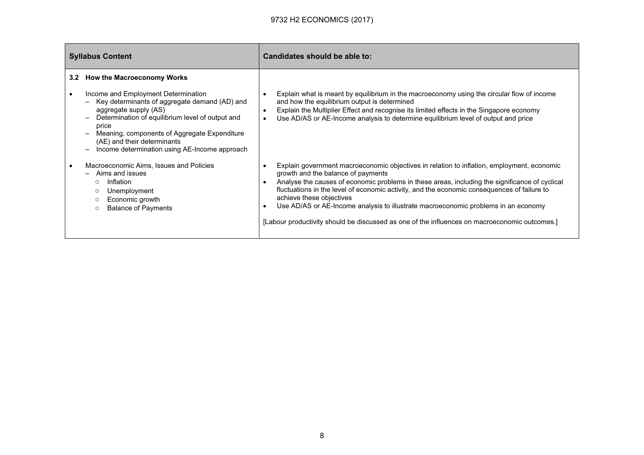|           | <b>Syllabus Content</b>                                                                                                                                                                                                                                                                                                                                                                                                                               | Candidates should be able to:                                                                                                                                                                                                                                                                                                                                                                                                                                                                                                                                                  |
|-----------|-------------------------------------------------------------------------------------------------------------------------------------------------------------------------------------------------------------------------------------------------------------------------------------------------------------------------------------------------------------------------------------------------------------------------------------------------------|--------------------------------------------------------------------------------------------------------------------------------------------------------------------------------------------------------------------------------------------------------------------------------------------------------------------------------------------------------------------------------------------------------------------------------------------------------------------------------------------------------------------------------------------------------------------------------|
|           | 3.2 How the Macroeconomy Works<br>Income and Employment Determination<br>Key determinants of aggregate demand (AD) and<br>$\overline{\phantom{0}}$<br>aggregate supply (AS)<br>Determination of equilibrium level of output and<br>$\overline{\phantom{0}}$<br>price<br>Meaning, components of Aggregate Expenditure<br>$\overline{\phantom{0}}$<br>(AE) and their determinants<br>Income determination using AE-Income approach<br>$\qquad \qquad -$ | Explain what is meant by equilibrium in the macroeconomy using the circular flow of income<br>and how the equilibrium output is determined<br>Explain the Multiplier Effect and recognise its limited effects in the Singapore economy<br>$\bullet$<br>Use AD/AS or AE-Income analysis to determine equilibrium level of output and price<br>$\bullet$                                                                                                                                                                                                                         |
| $\bullet$ | Macroeconomic Aims, Issues and Policies<br>Aims and issues<br>$\overline{\phantom{a}}$<br>Inflation<br>$\circ$<br>Unemployment<br>$\circ$<br>Economic growth<br>$\circ$<br><b>Balance of Payments</b><br>$\circ$                                                                                                                                                                                                                                      | Explain government macroeconomic objectives in relation to inflation, employment, economic<br>growth and the balance of payments<br>Analyse the causes of economic problems in these areas, including the significance of cyclical<br>$\bullet$<br>fluctuations in the level of economic activity, and the economic consequences of failure to<br>achieve these objectives<br>Use AD/AS or AE-Income analysis to illustrate macroeconomic problems in an economy<br>$\bullet$<br>[Labour productivity should be discussed as one of the influences on macroeconomic outcomes.] |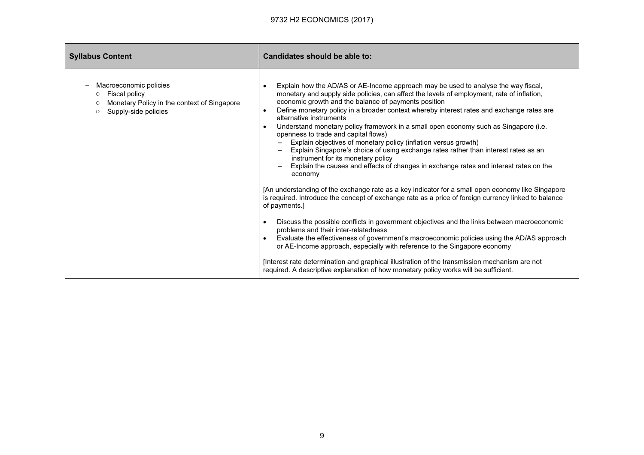| <b>Syllabus Content</b>                                                                                                   | Candidates should be able to:                                                                                                                                                                                                                                                                                                                                                                                                                                                                                                                                                                                                                                                                                                                                                                                                                                                                                                                                                                                                                                                                                                                                                                                                                                                                                                                                                                                                                                                                                                                                                                     |
|---------------------------------------------------------------------------------------------------------------------------|---------------------------------------------------------------------------------------------------------------------------------------------------------------------------------------------------------------------------------------------------------------------------------------------------------------------------------------------------------------------------------------------------------------------------------------------------------------------------------------------------------------------------------------------------------------------------------------------------------------------------------------------------------------------------------------------------------------------------------------------------------------------------------------------------------------------------------------------------------------------------------------------------------------------------------------------------------------------------------------------------------------------------------------------------------------------------------------------------------------------------------------------------------------------------------------------------------------------------------------------------------------------------------------------------------------------------------------------------------------------------------------------------------------------------------------------------------------------------------------------------------------------------------------------------------------------------------------------------|
| Macroeconomic policies<br>Fiscal policy<br>Monetary Policy in the context of Singapore<br>Supply-side policies<br>$\circ$ | Explain how the AD/AS or AE-Income approach may be used to analyse the way fiscal,<br>$\bullet$<br>monetary and supply side policies, can affect the levels of employment, rate of inflation,<br>economic growth and the balance of payments position<br>Define monetary policy in a broader context whereby interest rates and exchange rates are<br>$\bullet$<br>alternative instruments<br>Understand monetary policy framework in a small open economy such as Singapore (i.e.<br>$\bullet$<br>openness to trade and capital flows)<br>Explain objectives of monetary policy (inflation versus growth)<br>Explain Singapore's choice of using exchange rates rather than interest rates as an<br>instrument for its monetary policy<br>Explain the causes and effects of changes in exchange rates and interest rates on the<br>economy<br>[An understanding of the exchange rate as a key indicator for a small open economy like Singapore<br>is required. Introduce the concept of exchange rate as a price of foreign currency linked to balance<br>of payments.]<br>Discuss the possible conflicts in government objectives and the links between macroeconomic<br>$\bullet$<br>problems and their inter-relatedness<br>Evaluate the effectiveness of government's macroeconomic policies using the AD/AS approach<br>or AE-Income approach, especially with reference to the Singapore economy<br>[Interest rate determination and graphical illustration of the transmission mechanism are not<br>required. A descriptive explanation of how monetary policy works will be sufficient. |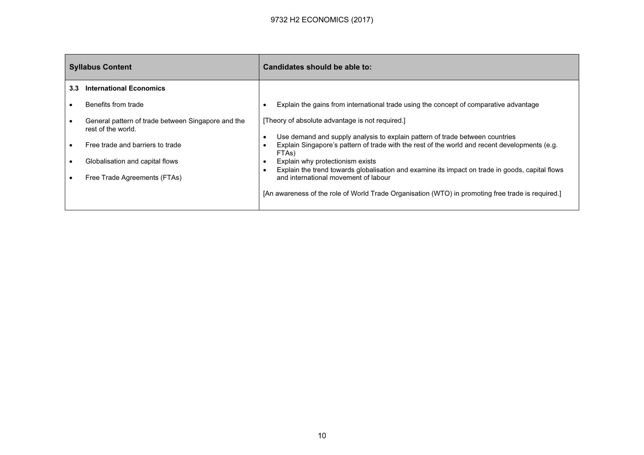| <b>Syllabus Content</b> |                                                                                                                                                                                 | Candidates should be able to:                                                                                                                                                                                                                                                                                                                                                                                                                                                                                                 |
|-------------------------|---------------------------------------------------------------------------------------------------------------------------------------------------------------------------------|-------------------------------------------------------------------------------------------------------------------------------------------------------------------------------------------------------------------------------------------------------------------------------------------------------------------------------------------------------------------------------------------------------------------------------------------------------------------------------------------------------------------------------|
| 3.3                     | <b>International Economics</b>                                                                                                                                                  |                                                                                                                                                                                                                                                                                                                                                                                                                                                                                                                               |
|                         | Benefits from trade                                                                                                                                                             | Explain the gains from international trade using the concept of comparative advantage                                                                                                                                                                                                                                                                                                                                                                                                                                         |
|                         | General pattern of trade between Singapore and the<br>rest of the world.<br>Free trade and barriers to trade<br>Globalisation and capital flows<br>Free Trade Agreements (FTAs) | [Theory of absolute advantage is not required.]<br>Use demand and supply analysis to explain pattern of trade between countries<br>Explain Singapore's pattern of trade with the rest of the world and recent developments (e.g.<br>FTAs)<br>Explain why protectionism exists<br>Explain the trend towards globalisation and examine its impact on trade in goods, capital flows<br>and international movement of labour<br>[An awareness of the role of World Trade Organisation (WTO) in promoting free trade is required.] |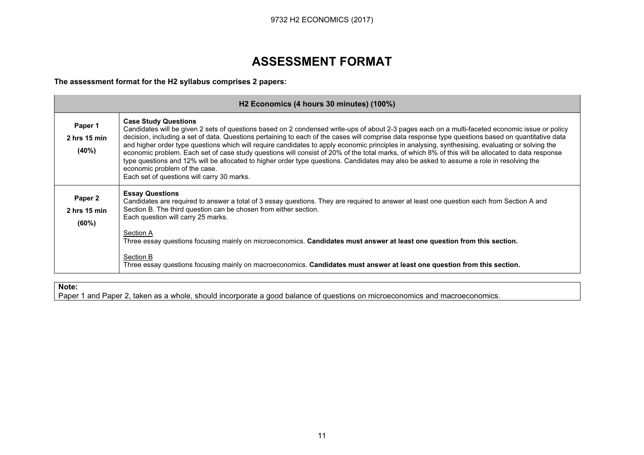# ASSESSMENT FORMAT

The assessment format for the H2 syllabus comprises 2 papers:

|                                               | H <sub>2</sub> Economics (4 hours 30 minutes) (100%)                                                                                                                                                                                                                                                                                                                                                                                                                                                                                                                                                                                                                                                                                                                                                                                                                    |
|-----------------------------------------------|-------------------------------------------------------------------------------------------------------------------------------------------------------------------------------------------------------------------------------------------------------------------------------------------------------------------------------------------------------------------------------------------------------------------------------------------------------------------------------------------------------------------------------------------------------------------------------------------------------------------------------------------------------------------------------------------------------------------------------------------------------------------------------------------------------------------------------------------------------------------------|
| Paper 1<br>$2$ hrs 15 min<br>(40%)            | <b>Case Study Questions</b><br>Candidates will be given 2 sets of questions based on 2 condensed write-ups of about 2-3 pages each on a multi-faceted economic issue or policy<br>decision, including a set of data. Questions pertaining to each of the cases will comprise data response type questions based on quantitative data<br>and higher order type questions which will require candidates to apply economic principles in analysing, synthesising, evaluating or solving the<br>economic problem. Each set of case study questions will consist of 20% of the total marks, of which 8% of this will be allocated to data response<br>type questions and 12% will be allocated to higher order type questions. Candidates may also be asked to assume a role in resolving the<br>economic problem of the case.<br>Each set of questions will carry 30 marks. |
| Paper <sub>2</sub><br>$2$ hrs 15 min<br>(60%) | <b>Essay Questions</b><br>Candidates are required to answer a total of 3 essay questions. They are required to answer at least one question each from Section A and<br>Section B. The third question can be chosen from either section.<br>Each question will carry 25 marks.<br>Section A<br>Three essay questions focusing mainly on microeconomics. Candidates must answer at least one question from this section.                                                                                                                                                                                                                                                                                                                                                                                                                                                  |
|                                               | Section B<br>Three essay questions focusing mainly on macroeconomics. Candidates must answer at least one question from this section.                                                                                                                                                                                                                                                                                                                                                                                                                                                                                                                                                                                                                                                                                                                                   |

#### Note:

Paper 1 and Paper 2, taken as a whole, should incorporate a good balance of questions on microeconomics and macroeconomics.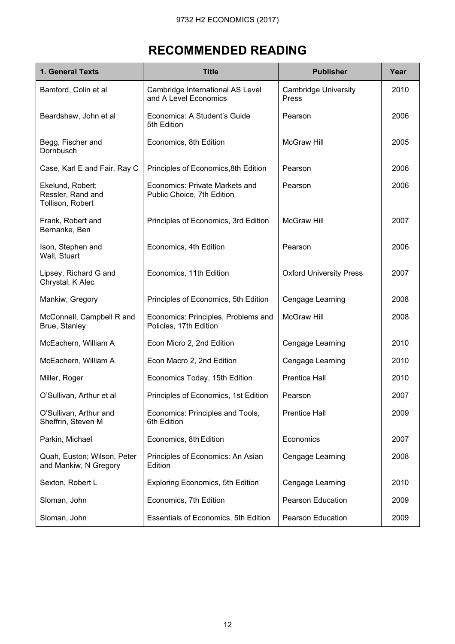# RECOMMENDED READING

| 1. General Texts                                          | <b>Title</b>                                                  | <b>Publisher</b>                     | Year |
|-----------------------------------------------------------|---------------------------------------------------------------|--------------------------------------|------|
| Bamford, Colin et al                                      | Cambridge International AS Level<br>and A Level Economics     | <b>Cambridge University</b><br>Press | 2010 |
| Beardshaw, John et al                                     | Economics: A Student's Guide<br>5th Edition                   | Pearson                              | 2006 |
| Begg, Fischer and<br>Dornbusch                            | Economics, 8th Edition                                        | <b>McGraw Hill</b>                   | 2005 |
| Case, Karl E and Fair, Ray C                              | Principles of Economics, 8th Edition                          | Pearson                              | 2006 |
| Ekelund, Robert;<br>Ressler, Rand and<br>Tollison, Robert | Economics: Private Markets and<br>Public Choice, 7th Edition  | Pearson                              | 2006 |
| Frank, Robert and<br>Bernanke, Ben                        | Principles of Economics, 3rd Edition                          | <b>McGraw Hill</b>                   | 2007 |
| Ison, Stephen and<br>Wall, Stuart                         | Economics, 4th Edition                                        | Pearson                              | 2006 |
| Lipsey, Richard G and<br>Chrystal, K Alec                 | Economics, 11th Edition                                       | <b>Oxford University Press</b>       | 2007 |
| Mankiw, Gregory                                           | Principles of Economics, 5th Edition                          | Cengage Learning                     | 2008 |
| McConnell, Campbell R and<br>Brue, Stanley                | Economics: Principles, Problems and<br>Policies, 17th Edition | <b>McGraw Hill</b>                   | 2008 |
| McEachern, William A                                      | Econ Micro 2, 2nd Edition                                     | Cengage Learning                     | 2010 |
| McEachern, William A                                      | Econ Macro 2, 2nd Edition                                     | Cengage Learning                     | 2010 |
| Miller, Roger                                             | Economics Today, 15th Edition                                 | <b>Prentice Hall</b>                 | 2010 |
| O'Sullivan, Arthur et al                                  | Principles of Economics, 1st Edition                          | Pearson                              | 2007 |
| O'Sullivan, Arthur and<br>Sheffrin, Steven M              | Economics: Principles and Tools,<br>6th Edition               | <b>Prentice Hall</b>                 | 2009 |
| Parkin, Michael                                           | Economics, 8th Edition                                        | Economics                            | 2007 |
| Quah, Euston; Wilson, Peter<br>and Mankiw, N Gregory      | Principles of Economics: An Asian<br>Edition                  | Cengage Learning                     | 2008 |
| Sexton, Robert L                                          | <b>Exploring Economics, 5th Edition</b>                       | Cengage Learning                     | 2010 |
| Sloman, John                                              | Economics, 7th Edition                                        | <b>Pearson Education</b>             | 2009 |
| Sloman, John                                              | Essentials of Economics, 5th Edition                          | <b>Pearson Education</b>             | 2009 |